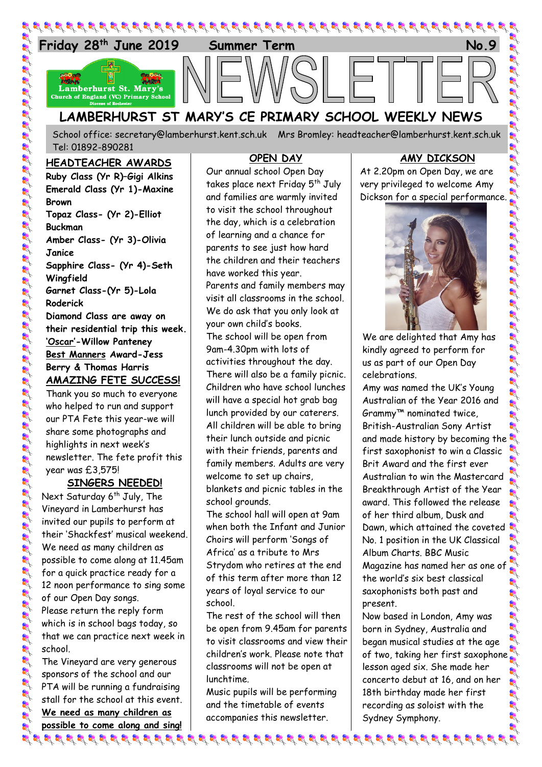

School office: [secretary@lamberhurst.kent.sch.uk](mailto:secretary@lamberhurst.kent.sch.uk) Mrs Bromley: headteacher@lamberhurst.kent.sch.uk Tel: 01892-890281

#### **HEADTEACHER AWARDS**

**Ruby Class (Yr R)–Gigi Alkins Emerald Class (Yr 1)-Maxine Brown Topaz Class- (Yr 2)-Elliot Buckman Amber Class- (Yr 3)-Olivia Janice Sapphire Class- (Yr 4)-Seth Wingfield Garnet Class-(Yr 5)-Lola Roderick Diamond Class are away on their residential trip this week. 'Oscar'-Willow Panteney Best Manners Award-Jess Berry & Thomas Harris AMAZING FETE SUCCESS!** Thank you so much to everyone who helped to run and support our PTA Fete this year-we will share some photographs and

highlights in next week's newsletter. The fete profit this year was £3,575!

# **SINGERS NEEDED!**

Next Saturday 6<sup>th</sup> July, The Vineyard in Lamberhurst has invited our pupils to perform at their 'Shackfest' musical weekend. We need as many children as possible to come along at 11.45am for a quick practice ready for a 12 noon performance to sing some of our Open Day songs. Please return the reply form which is in school bags today, so that we can practice next week in school.

The Vineyard are very generous sponsors of the school and our PTA will be running a fundraising stall for the school at this event. **We need as many children as possible to come along and sing!** के बाद के बाद के बाद के बाद के बाद के बाद के बाद के बाद के बाद के बाद के बाद के बाद के बाद के बाद के बाद के बा

### **OPEN DAY**

Our annual school Open Day takes place next Friday 5<sup>th</sup> July and families are warmly invited to visit the school throughout the day, which is a celebration of learning and a chance for parents to see just how hard the children and their teachers have worked this year. Parents and family members may visit all classrooms in the school. We do ask that you only look at your own child's books. The school will be open from 9am-4.30pm with lots of activities throughout the day. There will also be a family picnic. Children who have school lunches will have a special hot grab bag lunch provided by our caterers. All children will be able to bring their lunch outside and picnic with their friends, parents and family members. Adults are very welcome to set up chairs, blankets and picnic tables in the school grounds.

The school hall will open at 9am when both the Infant and Junior Choirs will perform 'Songs of Africa' as a tribute to Mrs Strydom who retires at the end of this term after more than 12 years of loyal service to our school.

The rest of the school will then be open from 9.45am for parents to visit classrooms and view their children's work. Please note that classrooms will not be open at lunchtime.

Music pupils will be performing and the timetable of events accompanies this newsletter.

### **AMY DICKSON**

At 2.20pm on Open Day, we are very privileged to welcome Amy Dickson for a special performance.



We are delighted that Amy has kindly agreed to perform for us as part of our Open Day celebrations.

Amy was named the UK's Young Australian of the Year 2016 and Grammy™ nominated twice, British-Australian Sony Artist and made history by becoming the first saxophonist to win a Classic Brit Award and the first ever Australian to win the Mastercard Breakthrough Artist of the Year award. This followed the release of her third album, Dusk and Dawn, which attained the coveted No. 1 position in the UK Classical Album Charts. BBC Music Magazine has named her as one of the world's six best classical saxophonists both past and present.

Now based in London, Amy was born in Sydney, Australia and began musical studies at the age of two, taking her first saxophone lesson aged six. She made her concerto debut at 16, and on her 18th birthday made her first recording as soloist with the Sydney Symphony.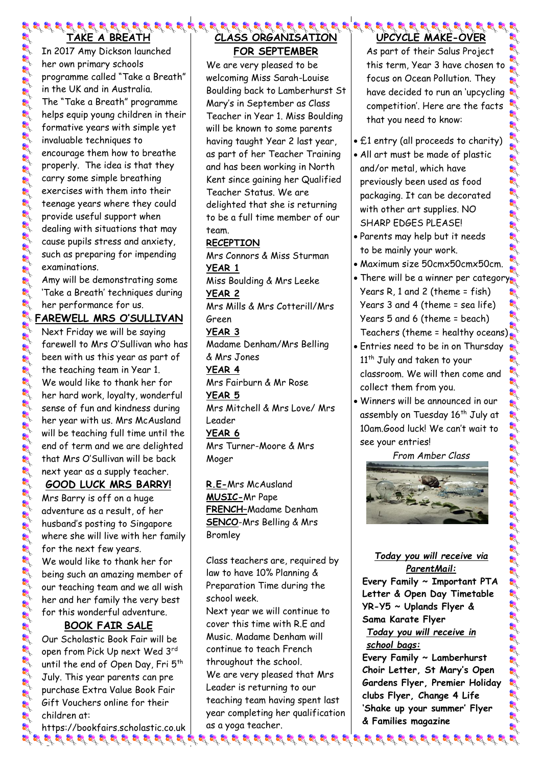# **TAKE A BREATH**

In 2017 Amy Dickson launched her own primary schools programme called "Take a Breath" in the UK and in Australia. The "Take a Breath" programme helps equip young children in their formative years with simple yet invaluable techniques to encourage them how to breathe properly. The idea is that they carry some simple breathing exercises with them into their teenage years where they could provide useful support when dealing with situations that may cause pupils stress and anxiety, such as preparing for impending examinations.

Amy will be demonstrating some 'Take a Breath' techniques during her performance for us.

### **FAREWELL MRS O'SULLIVAN**

Next Friday we will be saying farewell to Mrs O'Sullivan who has been with us this year as part of the teaching team in Year 1. We would like to thank her for her hard work, loyalty, wonderful sense of fun and kindness during her year with us. Mrs McAusland will be teaching full time until the end of term and we are delighted that Mrs O'Sullivan will be back next year as a supply teacher.

## **GOOD LUCK MRS BARRY!**

Mrs Barry is off on a huge adventure as a result, of her husband's posting to Singapore where she will live with her family for the next few years. We would like to thank her for being such an amazing member of our teaching team and we all wish her and her family the very best for this wonderful adventure.

# **BOOK FAIR SALE**

Our Scholastic Book Fair will be open from Pick Up next Wed 3rd until the end of Open Day, Fri 5<sup>th</sup> July. This year parents can pre purchase Extra Value Book Fair Gift Vouchers online for their children at:

https://bookfairs.scholastic.co.uk

## **CLASS ORGANISATION FOR SEPTEMBER**

We are very pleased to be welcoming Miss Sarah-Louise Boulding back to Lamberhurst St Mary's in September as Class Teacher in Year 1. Miss Boulding will be known to some parents having taught Year 2 last year, as part of her Teacher Training and has been working in North Kent since gaining her Qualified Teacher Status. We are delighted that she is returning to be a full time member of our team.

## **RECEPTION**

Mrs Connors & Miss Sturman **YEAR 1** Miss Boulding & Mrs Leeke **YEAR 2** Mrs Mills & Mrs Cotterill/Mrs Green **YEAR 3** Madame Denham/Mrs Belling & Mrs Jones **YEAR 4** Mrs Fairburn & Mr Rose **YEAR 5** Mrs Mitchell & Mrs Love/ Mrs Leader **YEAR 6** Mrs Turner-Moore & Mrs **Moger** 

**R.E-**Mrs McAusland **MUSIC-**Mr Pape **FRENCH–**Madame Denham **SENCO**-Mrs Belling & Mrs Bromley

Class teachers are, required by law to have 10% Planning & Preparation Time during the school week.

Next year we will continue to cover this time with R.E and Music. Madame Denham will continue to teach French throughout the school. We are very pleased that Mrs Leader is returning to our teaching team having spent last year completing her qualification as a yoga teacher.

 $\bm{g}$  , and the value of the value of the value of the value of the value of the value of the value of the value of the value of the value of the value of the value of the value of the value of the value of the value of

#### **83 83 83 83 83 83 83 83 83 83 8 UPCYCLE MAKE-OVER**

As part of their Salus Project this term, Year 3 have chosen to focus on Ocean Pollution. They have decided to run an 'upcycling competition'. Here are the facts that you need to know:

- £1 entry (all proceeds to charity)
- All art must be made of plastic and/or metal, which have previously been used as food packaging. It can be decorated with other art supplies. NO SHARP EDGES PLEASE!
- Parents may help but it needs to be mainly your work.
- Maximum size 50cmx50cmx50cm.
- There will be a winner per category Years R, 1 and 2 (theme = fish) Years 3 and 4 (theme = sea life) Years 5 and 6 (theme = beach) Teachers (theme = healthy oceans)
- Entries need to be in on Thursday 11<sup>th</sup> July and taken to your classroom. We will then come and collect them from you.
- Winners will be announced in our assembly on Tuesday 16<sup>th</sup> July at 10am.Good luck! We can't wait to see your entries!

*From Amber Class*



### *Today you will receive via ParentMail:*

**Every Family ~ Important PTA Letter & Open Day Timetable YR-Y5 ~ Uplands Flyer & Sama Karate Flyer** *Today you will receive in* 

## *school bags:*

**Every Family ~ Lamberhurst Choir Letter, St Mary's Open Gardens Flyer, Premier Holiday clubs Flyer, Change 4 Life 'Shake up your summer' Flyer & Families magazine**